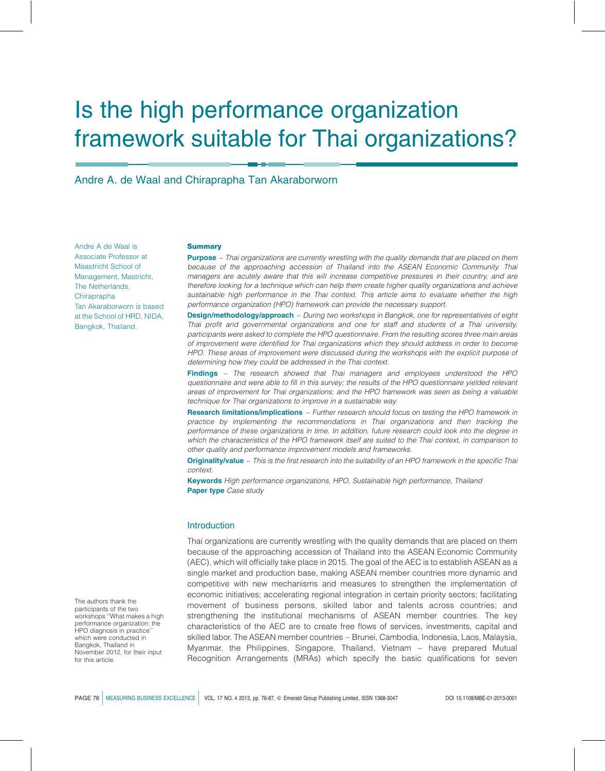# Is the high performance organization framework suitable for Thai organizations?

Andre A. de Waal and Chiraprapha Tan Akaraborworn

Andre A de Waal is Associate Professor at Maastricht School of Management, Mastricht, The Netherlands. Chiraprapha Tan Akaraborworn is based at the School of HRD, NIDA, Bangkok, Thailand.

#### **Summary**

**Purpose** – Thai organizations are currently wrestling with the quality demands that are placed on them because of the approaching accession of Thailand into the ASEAN Economic Community. Thai managers are acutely aware that this will increase competitive pressures in their country, and are therefore looking for a technique which can help them create higher quality organizations and achieve sustainable high performance in the Thai context. This article aims to evaluate whether the high performance organization (HPO) framework can provide the necessary support.

Design/methodology/approach – During two workshops in Bangkok, one for representatives of eight Thai profit and governmental organizations and one for staff and students of a Thai university, participants were asked to complete the HPO questionnaire. From the resulting scores three main areas of improvement were identified for Thai organizations which they should address in order to become HPO. These areas of improvement were discussed during the workshops with the explicit purpose of determining how they could be addressed in the Thai context.

Findings – The research showed that Thai managers and employees understood the HPO questionnaire and were able to fill in this survey; the results of the HPO questionnaire yielded relevant areas of improvement for Thai organizations; and the HPO framework was seen as being a valuable technique for Thai organizations to improve in a sustainable way.

Research limitations/implications – Further research should focus on testing the HPO framework in practice by implementing the recommendations in Thai organizations and then tracking the performance of these organizations in time. In addition, future research could look into the degree in which the characteristics of the HPO framework itself are suited to the Thai context, in comparison to other quality and performance improvement models and frameworks.

Originality/value – This is the first research into the suitability of an HPO framework in the specific Thai context.

Keywords High performance organizations, HPO, Sustainable high performance, Thailand Paper type Case study

# **Introduction**

Thai organizations are currently wrestling with the quality demands that are placed on them because of the approaching accession of Thailand into the ASEAN Economic Community (AEC), which will officially take place in 2015. The goal of the AEC is to establish ASEAN as a single market and production base, making ASEAN member countries more dynamic and competitive with new mechanisms and measures to strengthen the implementation of economic initiatives; accelerating regional integration in certain priority sectors; facilitating movement of business persons, skilled labor and talents across countries; and strengthening the institutional mechanisms of ASEAN member countries. The key characteristics of the AEC are to create free flows of services, investments, capital and skilled labor. The ASEAN member countries – Brunei, Cambodia, Indonesia, Laos, Malaysia, Myanmar, the Philippines, Singapore, Thailand, Vietnam – have prepared Mutual Recognition Arrangements (MRAs) which specify the basic qualifications for seven

The authors thank the participants of the two workshops ''What makes a high performance organization: the HPO diagnosis in practice'' which were conducted in Bangkok, Thailand in November 2012, for their input for this article.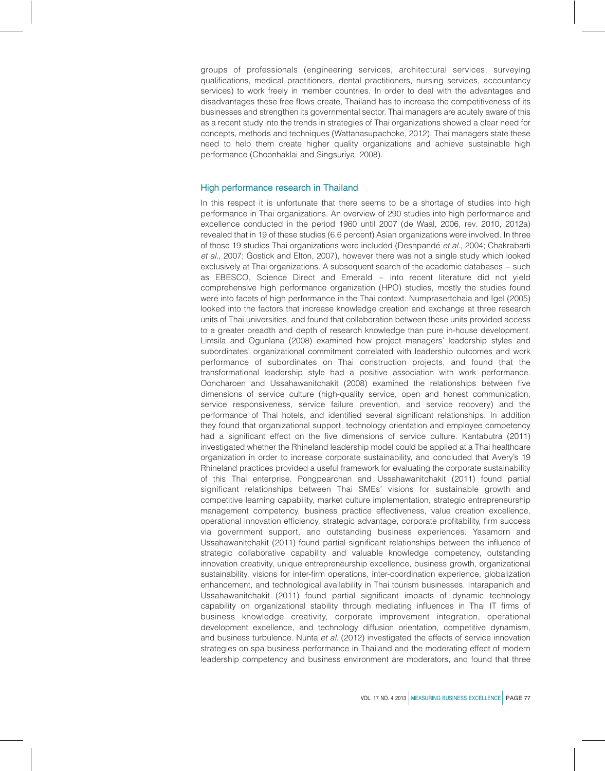groups of professionals (engineering services, architectural services, surveying qualifications, medical practitioners, dental practitioners, nursing services, accountancy services) to work freely in member countries. In order to deal with the advantages and disadvantages these free flows create, Thailand has to increase the competitiveness of its businesses and strengthen its governmental sector. Thai managers are acutely aware of this as a recent study into the trends in strategies of Thai organizations showed a clear need for concepts, methods and techniques (Wattanasupachoke, 2012). Thai managers state these need to help them create higher quality organizations and achieve sustainable high performance (Choonhaklai and Singsuriya, 2008).

# High performance research in Thailand

In this respect it is unfortunate that there seems to be a shortage of studies into high performance in Thai organizations. An overview of 290 studies into high performance and excellence conducted in the period 1960 until 2007 (de Waal, 2006, rev. 2010, 2012a) revealed that in 19 of these studies (6.6 percent) Asian organizations were involved. In three of those 19 studies Thai organizations were included (Deshpandé et al., 2004; Chakrabarti et al., 2007; Gostick and Elton, 2007), however there was not a single study which looked exclusively at Thai organizations. A subsequent search of the academic databases – such as EBESCO, Science Direct and Emerald – into recent literature did not yield comprehensive high performance organization (HPO) studies, mostly the studies found were into facets of high performance in the Thai context. Numprasertchaia and Igel (2005) looked into the factors that increase knowledge creation and exchange at three research units of Thai universities, and found that collaboration between these units provided access to a greater breadth and depth of research knowledge than pure in-house development. Limsila and Ogunlana (2008) examined how project managers' leadership styles and subordinates' organizational commitment correlated with leadership outcomes and work performance of subordinates on Thai construction projects, and found that the transformational leadership style had a positive association with work performance. Ooncharoen and Ussahawanitchakit (2008) examined the relationships between five dimensions of service culture (high-quality service, open and honest communication, service responsiveness, service failure prevention, and service recovery) and the performance of Thai hotels, and identified several significant relationships. In addition they found that organizational support, technology orientation and employee competency had a significant effect on the five dimensions of service culture. Kantabutra (2011) investigated whether the Rhineland leadership model could be applied at a Thai healthcare organization in order to increase corporate sustainability, and concluded that Avery's 19 Rhineland practices provided a useful framework for evaluating the corporate sustainability of this Thai enterprise. Pongpearchan and Ussahawanitchakit (2011) found partial significant relationships between Thai SMEs' visions for sustainable growth and competitive learning capability, market culture implementation, strategic entrepreneurship management competency, business practice effectiveness, value creation excellence, operational innovation efficiency, strategic advantage, corporate profitability, firm success via government support, and outstanding business experiences. Yasamorn and Ussahawanitchakit (2011) found partial significant relationships between the influence of strategic collaborative capability and valuable knowledge competency, outstanding innovation creativity, unique entrepreneurship excellence, business growth, organizational sustainability, visions for inter-firm operations, inter-coordination experience, globalization enhancement, and technological availability in Thai tourism businesses. Intarapanich and Ussahawanitchakit (2011) found partial significant impacts of dynamic technology capability on organizational stability through mediating influences in Thai IT firms of business knowledge creativity, corporate improvement integration, operational development excellence, and technology diffusion orientation, competitive dynamism, and business turbulence. Nunta et al. (2012) investigated the effects of service innovation strategies on spa business performance in Thailand and the moderating effect of modern leadership competency and business environment are moderators, and found that three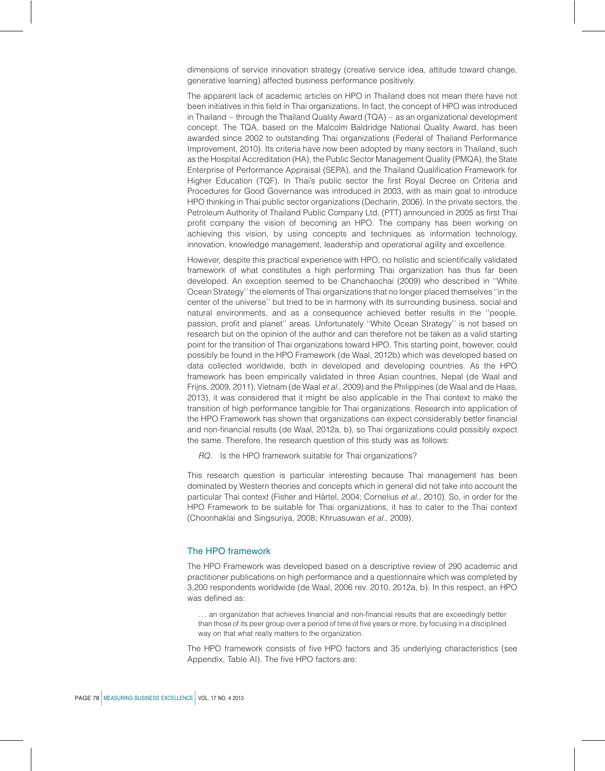dimensions of service innovation strategy (creative service idea, attitude toward change, generative learning) affected business performance positively.

The apparent lack of academic articles on HPO in Thailand does not mean there have not been initiatives in this field in Thai organizations. In fact, the concept of HPO was introduced in Thailand – through the Thailand Quality Award (TQA) – as an organizational development concept. The TQA, based on the Malcolm Baldridge National Quality Award, has been awarded since 2002 to outstanding Thai organizations (Federal of Thailand Performance Improvement, 2010). Its criteria have now been adopted by many sectors in Thailand, such as the Hospital Accreditation (HA), the Public Sector Management Quality (PMQA), the State Enterprise of Performance Appraisal (SEPA), and the Thailand Qualification Framework for Higher Education (TQF). In Thai's public sector the first Royal Decree on Criteria and Procedures for Good Governance was introduced in 2003, with as main goal to introduce HPO thinking in Thai public sector organizations (Decharin, 2006). In the private sectors, the Petroleum Authority of Thailand Public Company Ltd. (PTT) announced in 2005 as first Thai profit company the vision of becoming an HPO. The company has been working on achieving this vision, by using concepts and techniques as information technology, innovation, knowledge management, leadership and operational agility and excellence.

However, despite this practical experience with HPO, no holistic and scientifically validated framework of what constitutes a high performing Thai organization has thus far been developed. An exception seemed to be Chanchaochai (2009) who described in ''White Ocean Strategy'' the elements of Thai organizations that no longer placed themselves ''in the center of the universe'' but tried to be in harmony with its surrounding business, social and natural environments, and as a consequence achieved better results in the ''people, passion, profit and planet'' areas. Unfortunately ''White Ocean Strategy'' is not based on research but on the opinion of the author and can therefore not be taken as a valid starting point for the transition of Thai organizations toward HPO. This starting point, however, could possibly be found in the HPO Framework (de Waal, 2012b) which was developed based on data collected worldwide, both in developed and developing countries. As the HPO framework has been empirically validated in three Asian countries, Nepal (de Waal and Frijns, 2009, 2011), Vietnam (de Waal et al., 2009) and the Philippines (de Waal and de Haas, 2013), it was considered that it might be also applicable in the Thai context to make the transition of high performance tangible for Thai organizations. Research into application of the HPO Framework has shown that organizations can expect considerably better financial and non-financial results (de Waal, 2012a, b), so Thai organizations could possibly expect the same. Therefore, the research question of this study was as follows:

RQ. Is the HPO framework suitable for Thai organizations?

This research question is particular interesting because Thai management has been dominated by Western theories and concepts which in general did not take into account the particular Thai context (Fisher and Härtel, 2004; Cornelius et al., 2010). So, in order for the HPO Framework to be suitable for Thai organizations, it has to cater to the Thai context (Choonhaklai and Singsuriya, 2008; Khruasuwan et al., 2009).

# The HPO framework

The HPO Framework was developed based on a descriptive review of 290 academic and practitioner publications on high performance and a questionnaire which was completed by 3,200 respondents worldwide (de Waal, 2006 rev. 2010, 2012a, b). In this respect, an HPO was defined as:

... an organization that achieves financial and non-financial results that are exceedingly better than those of its peer group over a period of time of five years or more, by focusing in a disciplined way on that what really matters to the organization.

The HPO framework consists of five HPO factors and 35 underlying characteristics (see Appendix, Table AI). The five HPO factors are: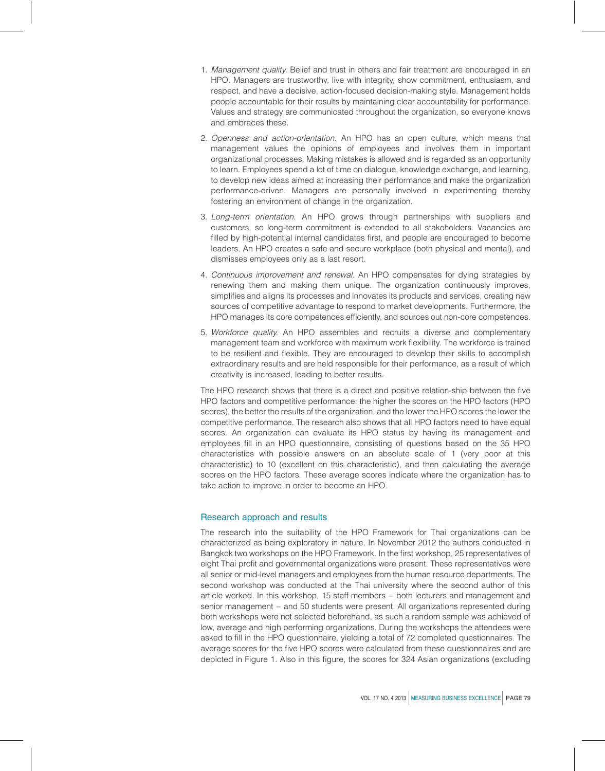- 1. Management quality. Belief and trust in others and fair treatment are encouraged in an HPO. Managers are trustworthy, live with integrity, show commitment, enthusiasm, and respect, and have a decisive, action-focused decision-making style. Management holds people accountable for their results by maintaining clear accountability for performance. Values and strategy are communicated throughout the organization, so everyone knows and embraces these.
- 2. Openness and action-orientation. An HPO has an open culture, which means that management values the opinions of employees and involves them in important organizational processes. Making mistakes is allowed and is regarded as an opportunity to learn. Employees spend a lot of time on dialogue, knowledge exchange, and learning, to develop new ideas aimed at increasing their performance and make the organization performance-driven. Managers are personally involved in experimenting thereby fostering an environment of change in the organization.
- 3. Long-term orientation. An HPO grows through partnerships with suppliers and customers, so long-term commitment is extended to all stakeholders. Vacancies are filled by high-potential internal candidates first, and people are encouraged to become leaders. An HPO creates a safe and secure workplace (both physical and mental), and dismisses employees only as a last resort.
- 4. Continuous improvement and renewal. An HPO compensates for dying strategies by renewing them and making them unique. The organization continuously improves, simplifies and aligns its processes and innovates its products and services, creating new sources of competitive advantage to respond to market developments. Furthermore, the HPO manages its core competences efficiently, and sources out non-core competences.
- 5. Workforce quality. An HPO assembles and recruits a diverse and complementary management team and workforce with maximum work flexibility. The workforce is trained to be resilient and flexible. They are encouraged to develop their skills to accomplish extraordinary results and are held responsible for their performance, as a result of which creativity is increased, leading to better results.

The HPO research shows that there is a direct and positive relation-ship between the five HPO factors and competitive performance: the higher the scores on the HPO factors (HPO scores), the better the results of the organization, and the lower the HPO scores the lower the competitive performance. The research also shows that all HPO factors need to have equal scores. An organization can evaluate its HPO status by having its management and employees fill in an HPO questionnaire, consisting of questions based on the 35 HPO characteristics with possible answers on an absolute scale of 1 (very poor at this characteristic) to 10 (excellent on this characteristic), and then calculating the average scores on the HPO factors. These average scores indicate where the organization has to take action to improve in order to become an HPO.

# Research approach and results

The research into the suitability of the HPO Framework for Thai organizations can be characterized as being exploratory in nature. In November 2012 the authors conducted in Bangkok two workshops on the HPO Framework. In the first workshop, 25 representatives of eight Thai profit and governmental organizations were present. These representatives were all senior or mid-level managers and employees from the human resource departments. The second workshop was conducted at the Thai university where the second author of this article worked. In this workshop, 15 staff members – both lecturers and management and senior management – and 50 students were present. All organizations represented during both workshops were not selected beforehand, as such a random sample was achieved of low, average and high performing organizations. During the workshops the attendees were asked to fill in the HPO questionnaire, yielding a total of 72 completed questionnaires. The average scores for the five HPO scores were calculated from these questionnaires and are depicted in Figure 1. Also in this figure, the scores for 324 Asian organizations (excluding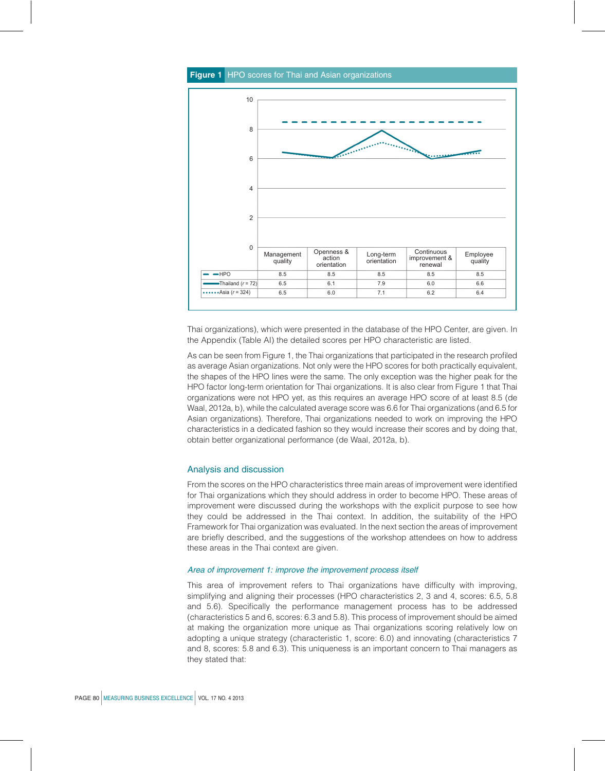

Thai organizations), which were presented in the database of the HPO Center, are given. In the Appendix (Table AI) the detailed scores per HPO characteristic are listed.

As can be seen from Figure 1, the Thai organizations that participated in the research profiled as average Asian organizations. Not only were the HPO scores for both practically equivalent, the shapes of the HPO lines were the same. The only exception was the higher peak for the HPO factor long-term orientation for Thai organizations. It is also clear from Figure 1 that Thai organizations were not HPO yet, as this requires an average HPO score of at least 8.5 (de Waal, 2012a, b), while the calculated average score was 6.6 for Thai organizations (and 6.5 for Asian organizations). Therefore, Thai organizations needed to work on improving the HPO characteristics in a dedicated fashion so they would increase their scores and by doing that, obtain better organizational performance (de Waal, 2012a, b).

# Analysis and discussion

From the scores on the HPO characteristics three main areas of improvement were identified for Thai organizations which they should address in order to become HPO. These areas of improvement were discussed during the workshops with the explicit purpose to see how they could be addressed in the Thai context. In addition, the suitability of the HPO Framework for Thai organization was evaluated. In the next section the areas of improvement are briefly described, and the suggestions of the workshop attendees on how to address these areas in the Thai context are given.

#### Area of improvement 1: improve the improvement process itself

This area of improvement refers to Thai organizations have difficulty with improving, simplifying and aligning their processes (HPO characteristics 2, 3 and 4, scores: 6.5, 5.8 and 5.6). Specifically the performance management process has to be addressed (characteristics 5 and 6, scores: 6.3 and 5.8). This process of improvement should be aimed at making the organization more unique as Thai organizations scoring relatively low on adopting a unique strategy (characteristic 1, score: 6.0) and innovating (characteristics 7 and 8, scores: 5.8 and 6.3). This uniqueness is an important concern to Thai managers as they stated that: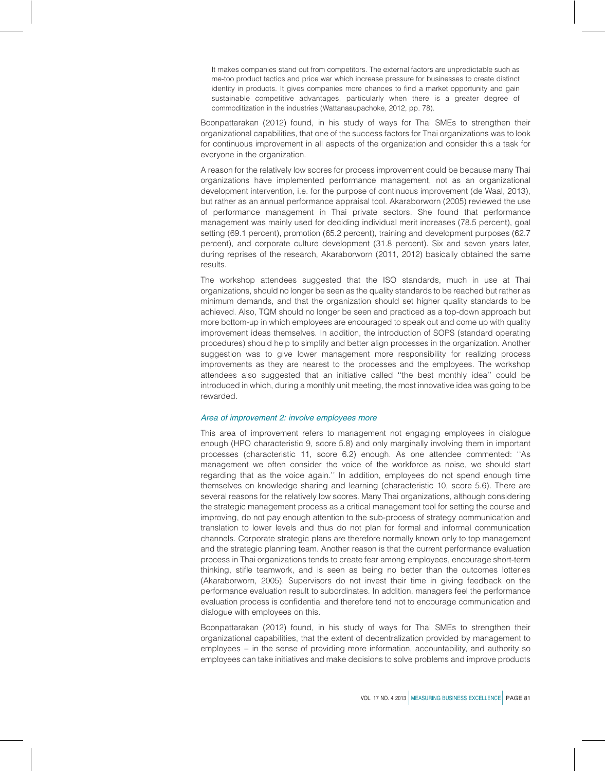It makes companies stand out from competitors. The external factors are unpredictable such as me-too product tactics and price war which increase pressure for businesses to create distinct identity in products. It gives companies more chances to find a market opportunity and gain sustainable competitive advantages, particularly when there is a greater degree of commoditization in the industries (Wattanasupachoke, 2012, pp. 78).

Boonpattarakan (2012) found, in his study of ways for Thai SMEs to strengthen their organizational capabilities, that one of the success factors for Thai organizations was to look for continuous improvement in all aspects of the organization and consider this a task for everyone in the organization.

A reason for the relatively low scores for process improvement could be because many Thai organizations have implemented performance management, not as an organizational development intervention, i.e. for the purpose of continuous improvement (de Waal, 2013), but rather as an annual performance appraisal tool. Akaraborworn (2005) reviewed the use of performance management in Thai private sectors. She found that performance management was mainly used for deciding individual merit increases (78.5 percent), goal setting (69.1 percent), promotion (65.2 percent), training and development purposes (62.7 percent), and corporate culture development (31.8 percent). Six and seven years later, during reprises of the research, Akaraborworn (2011, 2012) basically obtained the same results.

The workshop attendees suggested that the ISO standards, much in use at Thai organizations, should no longer be seen as the quality standards to be reached but rather as minimum demands, and that the organization should set higher quality standards to be achieved. Also, TQM should no longer be seen and practiced as a top-down approach but more bottom-up in which employees are encouraged to speak out and come up with quality improvement ideas themselves. In addition, the introduction of SOPS (standard operating procedures) should help to simplify and better align processes in the organization. Another suggestion was to give lower management more responsibility for realizing process improvements as they are nearest to the processes and the employees. The workshop attendees also suggested that an initiative called ''the best monthly idea'' could be introduced in which, during a monthly unit meeting, the most innovative idea was going to be rewarded.

#### Area of improvement 2: involve employees more

This area of improvement refers to management not engaging employees in dialogue enough (HPO characteristic 9, score 5.8) and only marginally involving them in important processes (characteristic 11, score 6.2) enough. As one attendee commented: ''As management we often consider the voice of the workforce as noise, we should start regarding that as the voice again.'' In addition, employees do not spend enough time themselves on knowledge sharing and learning (characteristic 10, score 5.6). There are several reasons for the relatively low scores. Many Thai organizations, although considering the strategic management process as a critical management tool for setting the course and improving, do not pay enough attention to the sub-process of strategy communication and translation to lower levels and thus do not plan for formal and informal communication channels. Corporate strategic plans are therefore normally known only to top management and the strategic planning team. Another reason is that the current performance evaluation process in Thai organizations tends to create fear among employees, encourage short-term thinking, stifle teamwork, and is seen as being no better than the outcomes lotteries (Akaraborworn, 2005). Supervisors do not invest their time in giving feedback on the performance evaluation result to subordinates. In addition, managers feel the performance evaluation process is confidential and therefore tend not to encourage communication and dialogue with employees on this.

Boonpattarakan (2012) found, in his study of ways for Thai SMEs to strengthen their organizational capabilities, that the extent of decentralization provided by management to employees – in the sense of providing more information, accountability, and authority so employees can take initiatives and make decisions to solve problems and improve products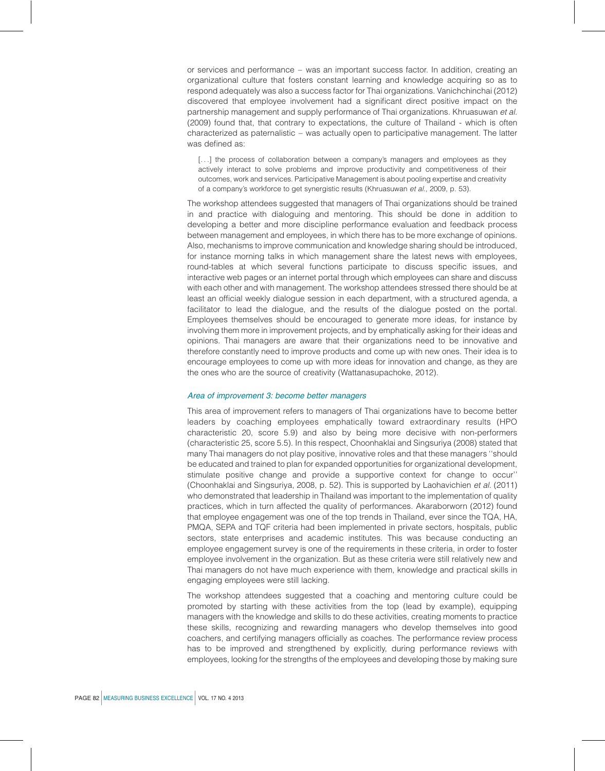or services and performance – was an important success factor. In addition, creating an organizational culture that fosters constant learning and knowledge acquiring so as to respond adequately was also a success factor for Thai organizations. Vanichchinchai (2012) discovered that employee involvement had a significant direct positive impact on the partnership management and supply performance of Thai organizations. Khruasuwan et al. (2009) found that, that contrary to expectations, the culture of Thailand - which is often characterized as paternalistic – was actually open to participative management. The latter was defined as:

[...] the process of collaboration between a company's managers and employees as they actively interact to solve problems and improve productivity and competitiveness of their outcomes, work and services. Participative Management is about pooling expertise and creativity of a company's workforce to get synergistic results (Khruasuwan et al., 2009, p. 53).

The workshop attendees suggested that managers of Thai organizations should be trained in and practice with dialoguing and mentoring. This should be done in addition to developing a better and more discipline performance evaluation and feedback process between management and employees, in which there has to be more exchange of opinions. Also, mechanisms to improve communication and knowledge sharing should be introduced, for instance morning talks in which management share the latest news with employees, round-tables at which several functions participate to discuss specific issues, and interactive web pages or an internet portal through which employees can share and discuss with each other and with management. The workshop attendees stressed there should be at least an official weekly dialogue session in each department, with a structured agenda, a facilitator to lead the dialogue, and the results of the dialogue posted on the portal. Employees themselves should be encouraged to generate more ideas, for instance by involving them more in improvement projects, and by emphatically asking for their ideas and opinions. Thai managers are aware that their organizations need to be innovative and therefore constantly need to improve products and come up with new ones. Their idea is to encourage employees to come up with more ideas for innovation and change, as they are the ones who are the source of creativity (Wattanasupachoke, 2012).

#### Area of improvement 3: become better managers

This area of improvement refers to managers of Thai organizations have to become better leaders by coaching employees emphatically toward extraordinary results (HPO characteristic 20, score 5.9) and also by being more decisive with non-performers (characteristic 25, score 5.5). In this respect, Choonhaklai and Singsuriya (2008) stated that many Thai managers do not play positive, innovative roles and that these managers ''should be educated and trained to plan for expanded opportunities for organizational development, stimulate positive change and provide a supportive context for change to occur'' (Choonhaklai and Singsuriya, 2008, p. 52). This is supported by Laohavichien et al. (2011) who demonstrated that leadership in Thailand was important to the implementation of quality practices, which in turn affected the quality of performances. Akaraborworn (2012) found that employee engagement was one of the top trends in Thailand, ever since the TQA, HA, PMQA, SEPA and TQF criteria had been implemented in private sectors, hospitals, public sectors, state enterprises and academic institutes. This was because conducting an employee engagement survey is one of the requirements in these criteria, in order to foster employee involvement in the organization. But as these criteria were still relatively new and Thai managers do not have much experience with them, knowledge and practical skills in engaging employees were still lacking.

The workshop attendees suggested that a coaching and mentoring culture could be promoted by starting with these activities from the top (lead by example), equipping managers with the knowledge and skills to do these activities, creating moments to practice these skills, recognizing and rewarding managers who develop themselves into good coachers, and certifying managers officially as coaches. The performance review process has to be improved and strengthened by explicitly, during performance reviews with employees, looking for the strengths of the employees and developing those by making sure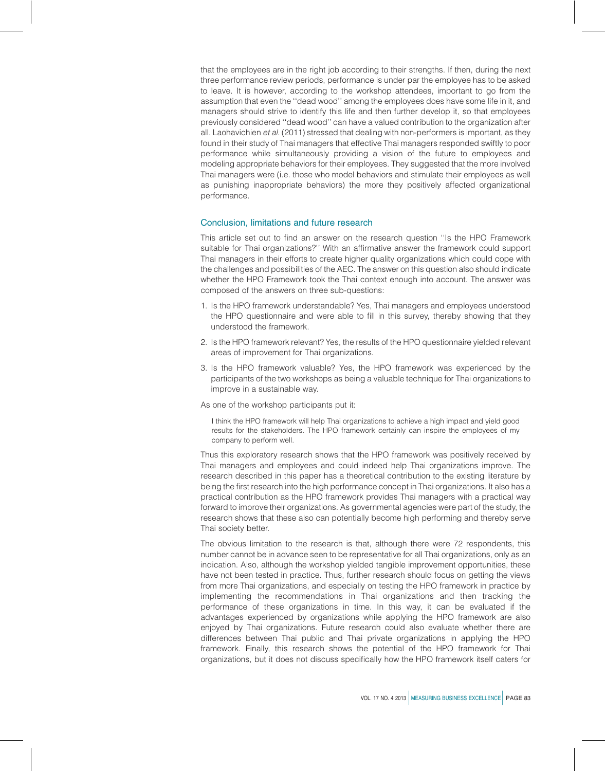that the employees are in the right job according to their strengths. If then, during the next three performance review periods, performance is under par the employee has to be asked to leave. It is however, according to the workshop attendees, important to go from the assumption that even the ''dead wood'' among the employees does have some life in it, and managers should strive to identify this life and then further develop it, so that employees previously considered ''dead wood'' can have a valued contribution to the organization after all. Laohavichien et al. (2011) stressed that dealing with non-performers is important, as they found in their study of Thai managers that effective Thai managers responded swiftly to poor performance while simultaneously providing a vision of the future to employees and modeling appropriate behaviors for their employees. They suggested that the more involved Thai managers were (i.e. those who model behaviors and stimulate their employees as well as punishing inappropriate behaviors) the more they positively affected organizational performance.

## Conclusion, limitations and future research

This article set out to find an answer on the research question ''Is the HPO Framework suitable for Thai organizations?'' With an affirmative answer the framework could support Thai managers in their efforts to create higher quality organizations which could cope with the challenges and possibilities of the AEC. The answer on this question also should indicate whether the HPO Framework took the Thai context enough into account. The answer was composed of the answers on three sub-questions:

- 1. Is the HPO framework understandable? Yes, Thai managers and employees understood the HPO questionnaire and were able to fill in this survey, thereby showing that they understood the framework.
- 2. Is the HPO framework relevant? Yes, the results of the HPO questionnaire yielded relevant areas of improvement for Thai organizations.
- 3. Is the HPO framework valuable? Yes, the HPO framework was experienced by the participants of the two workshops as being a valuable technique for Thai organizations to improve in a sustainable way.

As one of the workshop participants put it:

I think the HPO framework will help Thai organizations to achieve a high impact and yield good results for the stakeholders. The HPO framework certainly can inspire the employees of my company to perform well.

Thus this exploratory research shows that the HPO framework was positively received by Thai managers and employees and could indeed help Thai organizations improve. The research described in this paper has a theoretical contribution to the existing literature by being the first research into the high performance concept in Thai organizations. It also has a practical contribution as the HPO framework provides Thai managers with a practical way forward to improve their organizations. As governmental agencies were part of the study, the research shows that these also can potentially become high performing and thereby serve Thai society better.

The obvious limitation to the research is that, although there were 72 respondents, this number cannot be in advance seen to be representative for all Thai organizations, only as an indication. Also, although the workshop yielded tangible improvement opportunities, these have not been tested in practice. Thus, further research should focus on getting the views from more Thai organizations, and especially on testing the HPO framework in practice by implementing the recommendations in Thai organizations and then tracking the performance of these organizations in time. In this way, it can be evaluated if the advantages experienced by organizations while applying the HPO framework are also enjoyed by Thai organizations. Future research could also evaluate whether there are differences between Thai public and Thai private organizations in applying the HPO framework. Finally, this research shows the potential of the HPO framework for Thai organizations, but it does not discuss specifically how the HPO framework itself caters for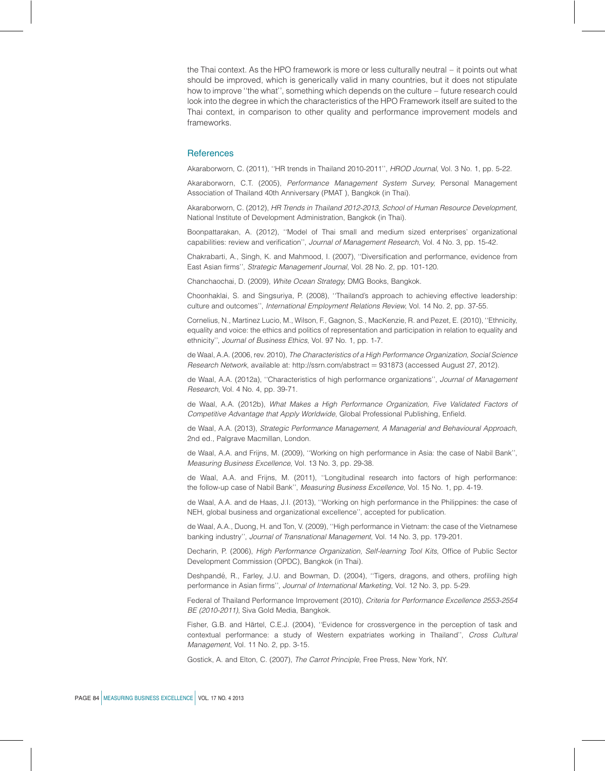the Thai context. As the HPO framework is more or less culturally neutral – it points out what should be improved, which is generically valid in many countries, but it does not stipulate how to improve ''the what'', something which depends on the culture – future research could look into the degree in which the characteristics of the HPO Framework itself are suited to the Thai context, in comparison to other quality and performance improvement models and frameworks.

#### **References**

Akaraborworn, C. (2011), ''HR trends in Thailand 2010-2011'', HROD Journal, Vol. 3 No. 1, pp. 5-22.

Akaraborworn, C.T. (2005), Performance Management System Survey, Personal Management Association of Thailand 40th Anniversary (PMAT ), Bangkok (in Thai).

Akaraborworn, C. (2012), HR Trends in Thailand 2012-2013, School of Human Resource Development, National Institute of Development Administration, Bangkok (in Thai).

Boonpattarakan, A. (2012), ''Model of Thai small and medium sized enterprises' organizational capabilities: review and verification'', Journal of Management Research, Vol. 4 No. 3, pp. 15-42.

Chakrabarti, A., Singh, K. and Mahmood, I. (2007), ''Diversification and performance, evidence from East Asian firms'', Strategic Management Journal, Vol. 28 No. 2, pp. 101-120.

Chanchaochai, D. (2009), White Ocean Strategy, DMG Books, Bangkok.

Choonhaklai, S. and Singsuriya, P. (2008), ''Thailand's approach to achieving effective leadership: culture and outcomes'', International Employment Relations Review, Vol. 14 No. 2, pp. 37-55.

Cornelius, N., Martinez Lucio, M., Wilson, F., Gagnon, S., MacKenzie, R. and Pezet, E. (2010), ''Ethnicity, equality and voice: the ethics and politics of representation and participation in relation to equality and ethnicity'', Journal of Business Ethics, Vol. 97 No. 1, pp. 1-7.

de Waal, A.A. (2006, rev. 2010), The Characteristics of a High Performance Organization, Social Science Research Network, available at: http://ssrn.com/abstract = 931873 (accessed August 27, 2012).

de Waal, A.A. (2012a), "Characteristics of high performance organizations", Journal of Management Research, Vol. 4 No. 4, pp. 39-71.

de Waal, A.A. (2012b), What Makes a High Performance Organization, Five Validated Factors of Competitive Advantage that Apply Worldwide, Global Professional Publishing, Enfield.

de Waal, A.A. (2013), Strategic Performance Management, A Managerial and Behavioural Approach, 2nd ed., Palgrave Macmillan, London.

de Waal, A.A. and Frijns, M. (2009), ''Working on high performance in Asia: the case of Nabil Bank'', Measuring Business Excellence, Vol. 13 No. 3, pp. 29-38.

de Waal, A.A. and Frijns, M. (2011), ''Longitudinal research into factors of high performance: the follow-up case of Nabil Bank'', Measuring Business Excellence, Vol. 15 No. 1, pp. 4-19.

de Waal, A.A. and de Haas, J.I. (2013), ''Working on high performance in the Philippines: the case of NEH, global business and organizational excellence'', accepted for publication.

de Waal, A.A., Duong, H. and Ton, V. (2009), ''High performance in Vietnam: the case of the Vietnamese banking industry'', Journal of Transnational Management, Vol. 14 No. 3, pp. 179-201.

Decharin, P. (2006), High Performance Organization, Self-learning Tool Kits, Office of Public Sector Development Commission (OPDC), Bangkok (in Thai).

Deshpandé, R., Farley, J.U. and Bowman, D. (2004), "Tigers, dragons, and others, profiling high performance in Asian firms'', Journal of International Marketing, Vol. 12 No. 3, pp. 5-29.

Federal of Thailand Performance Improvement (2010), Criteria for Performance Excellence 2553-2554 BE (2010-2011), Siva Gold Media, Bangkok.

Fisher, G.B. and Härtel, C.E.J. (2004), "Evidence for crossvergence in the perception of task and contextual performance: a study of Western expatriates working in Thailand'', Cross Cultural Management, Vol. 11 No. 2, pp. 3-15.

Gostick, A. and Elton, C. (2007), The Carrot Principle, Free Press, New York, NY.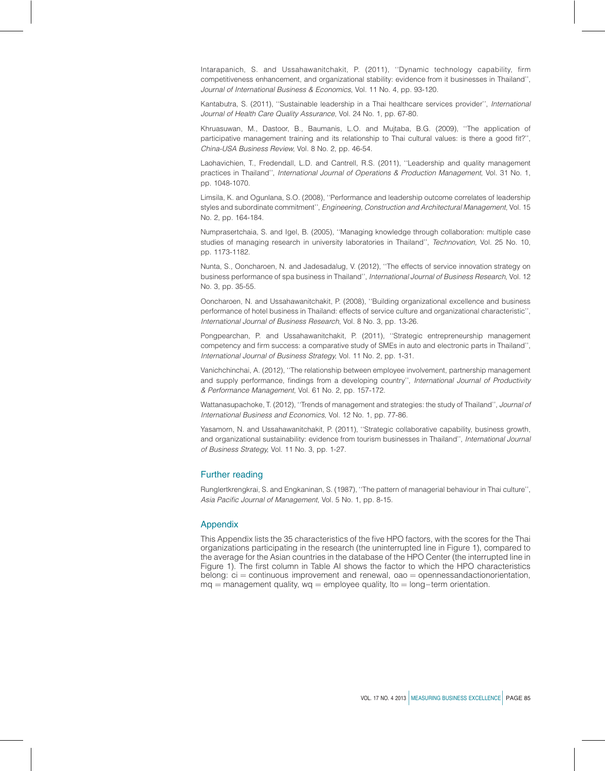Intarapanich, S. and Ussahawanitchakit, P. (2011), ''Dynamic technology capability, firm competitiveness enhancement, and organizational stability: evidence from it businesses in Thailand'', Journal of International Business & Economics, Vol. 11 No. 4, pp. 93-120.

Kantabutra, S. (2011), ''Sustainable leadership in a Thai healthcare services provider'', International Journal of Health Care Quality Assurance, Vol. 24 No. 1, pp. 67-80.

Khruasuwan, M., Dastoor, B., Baumanis, L.O. and Mujtaba, B.G. (2009), ''The application of participative management training and its relationship to Thai cultural values: is there a good fit?'', China-USA Business Review, Vol. 8 No. 2, pp. 46-54.

Laohavichien, T., Fredendall, L.D. and Cantrell, R.S. (2011), ''Leadership and quality management practices in Thailand", International Journal of Operations & Production Management, Vol. 31 No. 1, pp. 1048-1070.

Limsila, K. and Ogunlana, S.O. (2008), ''Performance and leadership outcome correlates of leadership styles and subordinate commitment", Engineering, Construction and Architectural Management, Vol. 15 No. 2, pp. 164-184.

Numprasertchaia, S. and Igel, B. (2005), ''Managing knowledge through collaboration: multiple case studies of managing research in university laboratories in Thailand'', Technovation, Vol. 25 No. 10, pp. 1173-1182.

Nunta, S., Ooncharoen, N. and Jadesadalug, V. (2012), ''The effects of service innovation strategy on business performance of spa business in Thailand", International Journal of Business Research, Vol. 12 No. 3, pp. 35-55.

Ooncharoen, N. and Ussahawanitchakit, P. (2008), ''Building organizational excellence and business performance of hotel business in Thailand: effects of service culture and organizational characteristic'', International Journal of Business Research, Vol. 8 No. 3, pp. 13-26.

Pongpearchan, P. and Ussahawanitchakit, P. (2011), ''Strategic entrepreneurship management competency and firm success: a comparative study of SMEs in auto and electronic parts in Thailand'', International Journal of Business Strategy, Vol. 11 No. 2, pp. 1-31.

Vanichchinchai, A. (2012), ''The relationship between employee involvement, partnership management and supply performance, findings from a developing country", International Journal of Productivity & Performance Management, Vol. 61 No. 2, pp. 157-172.

Wattanasupachoke, T. (2012), ''Trends of management and strategies: the study of Thailand'', Journal of International Business and Economics, Vol. 12 No. 1, pp. 77-86.

Yasamorn, N. and Ussahawanitchakit, P. (2011), ''Strategic collaborative capability, business growth, and organizational sustainability: evidence from tourism businesses in Thailand'', International Journal of Business Strategy, Vol. 11 No. 3, pp. 1-27.

#### Further reading

Runglertkrengkrai, S. and Engkaninan, S. (1987), ''The pattern of managerial behaviour in Thai culture'', Asia Pacific Journal of Management, Vol. 5 No. 1, pp. 8-15.

## Appendix

This Appendix lists the 35 characteristics of the five HPO factors, with the scores for the Thai organizations participating in the research (the uninterrupted line in Figure 1), compared to the average for the Asian countries in the database of the HPO Center (the interrupted line in Figure 1). The first column in Table AI shows the factor to which the HPO characteristics belong:  $ci =$  continuous improvement and renewal,  $oa =$  opennessandactionorientation,  $mq =$  management quality, wq = employee quality, lto = long-term orientation.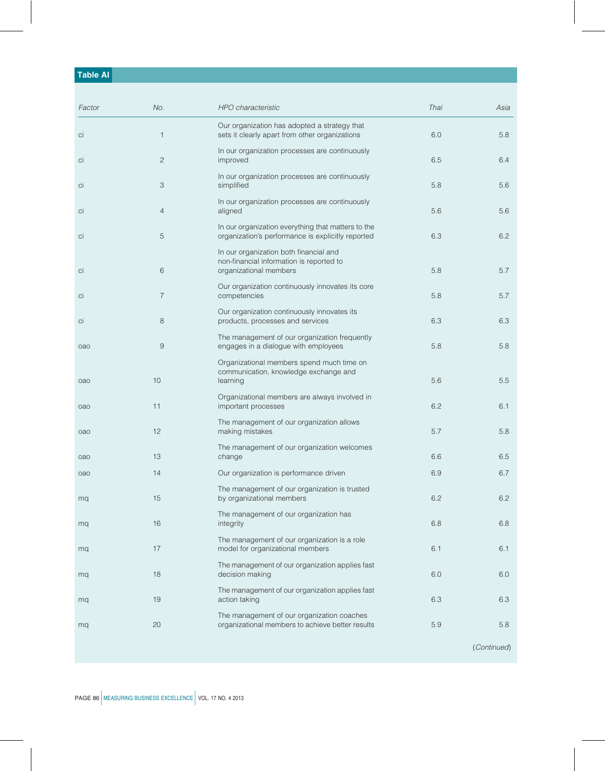| <b>Table AI</b> |                |                                                                                                              |      |             |
|-----------------|----------------|--------------------------------------------------------------------------------------------------------------|------|-------------|
|                 |                |                                                                                                              |      |             |
| Factor          | No.            | <b>HPO</b> characteristic                                                                                    | Thai | Asia        |
| Cİ              | 1              | Our organization has adopted a strategy that<br>sets it clearly apart from other organizations               | 6.0  | 5.8         |
| Cİ              | $\overline{c}$ | In our organization processes are continuously<br>improved                                                   | 6.5  | 6.4         |
| Cİ              | 3              | In our organization processes are continuously<br>simplified                                                 | 5.8  | 5.6         |
| Cİ              | $\overline{4}$ | In our organization processes are continuously<br>aligned                                                    | 5.6  | 5.6         |
| <b>Ci</b>       | 5              | In our organization everything that matters to the<br>organization's performance is explicitly reported      | 6.3  | 6.2         |
| <b>Ci</b>       | 6              | In our organization both financial and<br>non-financial information is reported to<br>organizational members | 5.8  | 5.7         |
| Cİ              | 7              | Our organization continuously innovates its core<br>competencies                                             | 5.8  | 5.7         |
| Cİ              | 8              | Our organization continuously innovates its<br>products, processes and services                              | 6.3  | 6.3         |
| oao             | 9              | The management of our organization frequently<br>engages in a dialogue with employees                        | 5.8  | 5.8         |
| oao             | 10             | Organizational members spend much time on<br>communication, knowledge exchange and<br>learning               | 5.6  | 5.5         |
| oao             | 11             | Organizational members are always involved in<br>important processes                                         | 6.2  | 6.1         |
| oao             | 12             | The management of our organization allows<br>making mistakes                                                 | 5.7  | 5.8         |
| oao             | 13             | The management of our organization welcomes<br>change                                                        | 6.6  | 6.5         |
| oao             | 14             | Our organization is performance driven                                                                       | 6.9  | 6.7         |
| mq              | 15             | The management of our organization is trusted<br>by organizational members                                   | 6.2  | 6.2         |
| mq              | 16             | The management of our organization has<br>integrity                                                          | 6.8  | 6.8         |
| mq              | 17             | The management of our organization is a role<br>model for organizational members                             | 6.1  | 6.1         |
| mq              | 18             | The management of our organization applies fast<br>decision making                                           | 6.0  | 6.0         |
| mq              | 19             | The management of our organization applies fast<br>action taking                                             | 6.3  | 6.3         |
| mq              | 20             | The management of our organization coaches<br>organizational members to achieve better results               | 5.9  | 5.8         |
|                 |                |                                                                                                              |      | (Continued) |